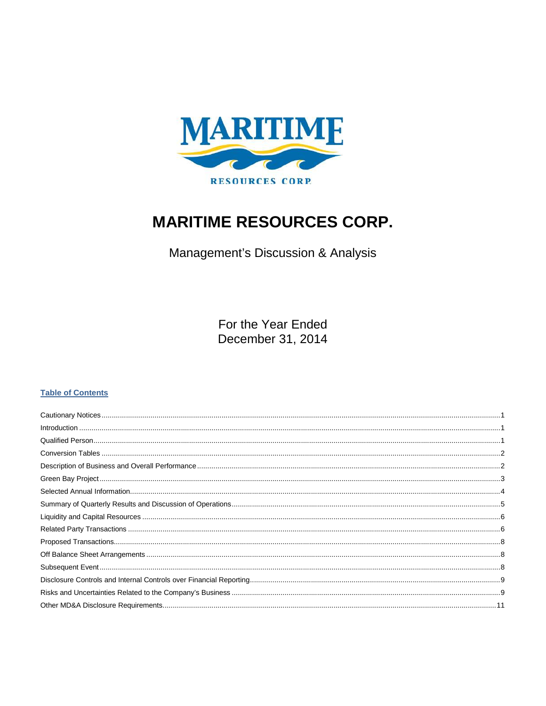

# **MARITIME RESOURCES CORP.**

Management's Discussion & Analysis

For the Year Ended December 31, 2014

## **Table of Contents**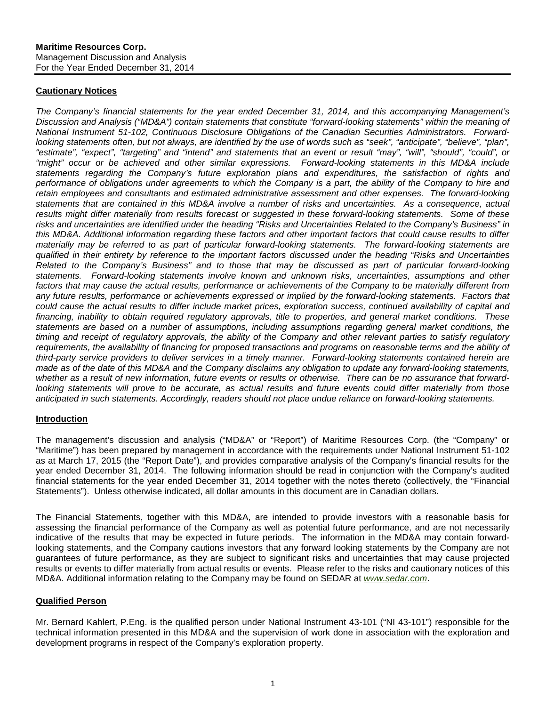### <span id="page-1-0"></span>**Cautionary Notices**

*The Company's financial statements for the year ended December 31, 2014, and this accompanying Management's Discussion and Analysis ("MD&A") contain statements that constitute "forward-looking statements" within the meaning of National Instrument 51-102, Continuous Disclosure Obligations of the Canadian Securities Administrators. Forwardlooking statements often, but not always, are identified by the use of words such as "seek", "anticipate", "believe", "plan", "estimate", "expect", "targeting" and "intend" and statements that an event or result "may", "will", "should", "could", or "might" occur or be achieved and other similar expressions. Forward-looking statements in this MD&A include statements regarding the Company's future exploration plans and expenditures, the satisfaction of rights and*  performance of obligations under agreements to which the Company is a part, the ability of the Company to hire and *retain employees and consultants and estimated administrative assessment and other expenses. The forward-looking statements that are contained in this MD&A involve a number of risks and uncertainties. As a consequence, actual results might differ materially from results forecast or suggested in these forward-looking statements. Some of these risks and uncertainties are identified under the heading "Risks and Uncertainties Related to the Company's Business" in this MD&A. Additional information regarding these factors and other important factors that could cause results to differ materially may be referred to as part of particular forward-looking statements. The forward-looking statements are qualified in their entirety by reference to the important factors discussed under the heading "Risks and Uncertainties Related to the Company's Business" and to those that may be discussed as part of particular forward-looking statements. Forward-looking statements involve known and unknown risks, uncertainties, assumptions and other*  factors that may cause the actual results, performance or achievements of the Company to be materially different from any future results, performance or achievements expressed or implied by the forward-looking statements. Factors that *could cause the actual results to differ include market prices, exploration success, continued availability of capital and financing, inability to obtain required regulatory approvals, title to properties, and general market conditions. These statements are based on a number of assumptions, including assumptions regarding general market conditions, the timing and receipt of regulatory approvals, the ability of the Company and other relevant parties to satisfy regulatory*  requirements, the availability of financing for proposed transactions and programs on reasonable terms and the ability of *third-party service providers to deliver services in a timely manner. Forward-looking statements contained herein are made as of the date of this MD&A and the Company disclaims any obligation to update any forward-looking statements, whether as a result of new information, future events or results or otherwise. There can be no assurance that forwardlooking statements will prove to be accurate, as actual results and future events could differ materially from those anticipated in such statements. Accordingly, readers should not place undue reliance on forward-looking statements.*

## <span id="page-1-1"></span>**Introduction**

The management's discussion and analysis ("MD&A" or "Report") of Maritime Resources Corp. (the "Company" or "Maritime") has been prepared by management in accordance with the requirements under National Instrument 51-102 as at March 17, 2015 (the "Report Date"), and provides comparative analysis of the Company's financial results for the year ended December 31, 2014. The following information should be read in conjunction with the Company's audited financial statements for the year ended December 31, 2014 together with the notes thereto (collectively, the "Financial Statements"). Unless otherwise indicated, all dollar amounts in this document are in Canadian dollars.

The Financial Statements, together with this MD&A, are intended to provide investors with a reasonable basis for assessing the financial performance of the Company as well as potential future performance, and are not necessarily indicative of the results that may be expected in future periods. The information in the MD&A may contain forwardlooking statements, and the Company cautions investors that any forward looking statements by the Company are not guarantees of future performance, as they are subject to significant risks and uncertainties that may cause projected results or events to differ materially from actual results or events. Please refer to the risks and cautionary notices of this MD&A. Additional information relating to the Company may be found on SEDAR at *[www.sedar.com](http://www.sedar.com/)*.

## <span id="page-1-2"></span>**Qualified Person**

Mr. Bernard Kahlert, P.Eng. is the qualified person under National Instrument 43-101 ("NI 43-101") responsible for the technical information presented in this MD&A and the supervision of work done in association with the exploration and development programs in respect of the Company's exploration property.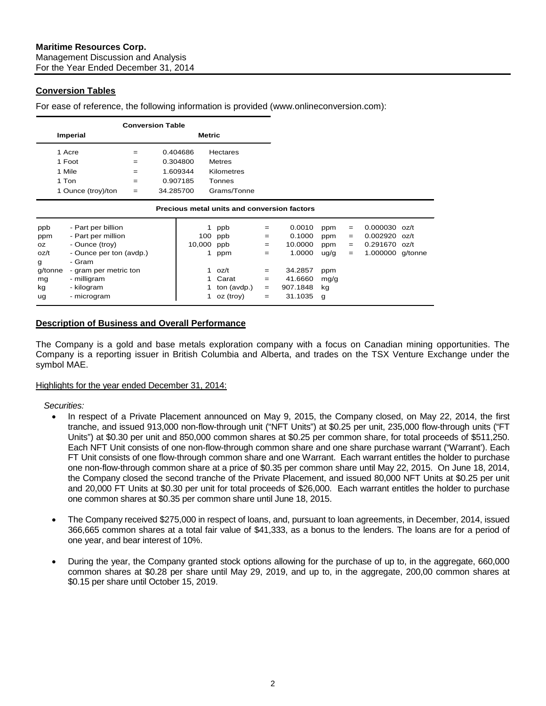## <span id="page-2-0"></span>**Conversion Tables**

For ease of reference, the following information is provided (www.onlineconversion.com):

|         |                         | <b>Conversion Table</b> |           |               |                                             |     |          |      |     |                  |      |
|---------|-------------------------|-------------------------|-----------|---------------|---------------------------------------------|-----|----------|------|-----|------------------|------|
|         | Imperial                |                         |           | <b>Metric</b> |                                             |     |          |      |     |                  |      |
|         | 1 Acre                  | $=$                     |           | 0.404686      | Hectares                                    |     |          |      |     |                  |      |
|         | 1 Foot                  | $=$                     |           | 0.304800      | <b>Metres</b>                               |     |          |      |     |                  |      |
|         | 1 Mile                  | $=$                     |           | 1.609344      | Kilometres                                  |     |          |      |     |                  |      |
|         | 1 Ton                   | $=$                     |           | 0.907185      | Tonnes                                      |     |          |      |     |                  |      |
|         | 1 Ounce (troy)/ton      | $=$                     | 34.285700 |               | Grams/Tonne                                 |     |          |      |     |                  |      |
|         |                         |                         |           |               | Precious metal units and conversion factors |     |          |      |     |                  |      |
| ppb     | - Part per billion      |                         |           | 1             | ppb                                         | $=$ | 0.0010   | ppm  | $=$ | 0.000030         | oz/t |
| ppm     | - Part per million      |                         |           | 100           | ppb                                         | $=$ | 0.1000   | ppm  | $=$ | 0.002920         | oz/t |
| OZ.     | - Ounce (troy)          |                         |           | 10,000        | ppb                                         | $=$ | 10.0000  | ppm  | $=$ | 0.291670         | oz/t |
| oz/t    | - Ounce per ton (avdp.) |                         |           | 1             | ppm                                         | $=$ | 1.0000   | ug/g | $=$ | 1.000000 g/tonne |      |
| g       | - Gram                  |                         |           |               |                                             |     |          |      |     |                  |      |
| g/tonne | - gram per metric ton   |                         |           | 1             | oz/t                                        | $=$ | 34.2857  | ppm  |     |                  |      |
| mg      | - milligram             |                         |           |               | Carat                                       | $=$ | 41.6660  | mg/g |     |                  |      |
| kg      | - kilogram              |                         |           |               | ton (avdp.)                                 | $=$ | 907.1848 | kg   |     |                  |      |
| ug      | - microgram             |                         |           |               | oz (troy)                                   | $=$ | 31.1035  | g    |     |                  |      |

## <span id="page-2-1"></span>**Description of Business and Overall Performance**

The Company is a gold and base metals exploration company with a focus on Canadian mining opportunities. The Company is a reporting issuer in British Columbia and Alberta, and trades on the TSX Venture Exchange under the symbol MAE.

Highlights for the year ended December 31, 2014:

*Securities:*

- In respect of a Private Placement announced on May 9, 2015, the Company closed, on May 22, 2014, the first tranche, and issued 913,000 non-flow-through unit ("NFT Units") at \$0.25 per unit, 235,000 flow-through units ("FT Units") at \$0.30 per unit and 850,000 common shares at \$0.25 per common share, for total proceeds of \$511,250. Each NFT Unit consists of one non-flow-through common share and one share purchase warrant ("Warrant'). Each FT Unit consists of one flow-through common share and one Warrant. Each warrant entitles the holder to purchase one non-flow-through common share at a price of \$0.35 per common share until May 22, 2015. On June 18, 2014, the Company closed the second tranche of the Private Placement, and issued 80,000 NFT Units at \$0.25 per unit and 20,000 FT Units at \$0.30 per unit for total proceeds of \$26,000. Each warrant entitles the holder to purchase one common shares at \$0.35 per common share until June 18, 2015.
- The Company received \$275,000 in respect of loans, and, pursuant to loan agreements, in December, 2014, issued 366,665 common shares at a total fair value of \$41,333, as a bonus to the lenders. The loans are for a period of one year, and bear interest of 10%.
- During the year, the Company granted stock options allowing for the purchase of up to, in the aggregate, 660,000 common shares at \$0.28 per share until May 29, 2019, and up to, in the aggregate, 200,00 common shares at \$0.15 per share until October 15, 2019.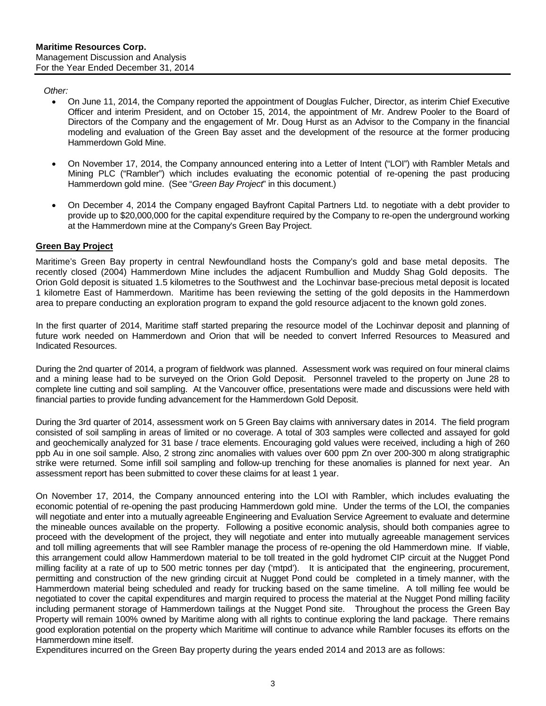#### *Other:*

- On June 11, 2014, the Company reported the appointment of Douglas Fulcher, Director, as interim Chief Executive Officer and interim President, and on October 15, 2014, the appointment of Mr. Andrew Pooler to the Board of Directors of the Company and the engagement of Mr. Doug Hurst as an Advisor to the Company in the financial modeling and evaluation of the Green Bay asset and the development of the resource at the former producing Hammerdown Gold Mine.
- On November 17, 2014, the Company announced entering into a Letter of Intent ("LOI") with Rambler Metals and Mining PLC ("Rambler") which includes evaluating the economic potential of re-opening the past producing Hammerdown gold mine. (See "*Green Bay Project*" in this document.)
- On December 4, 2014 the Company engaged Bayfront Capital Partners Ltd. to negotiate with a debt provider to provide up to \$20,000,000 for the capital expenditure required by the Company to re-open the underground working at the Hammerdown mine at the Company's Green Bay Project.

## <span id="page-3-0"></span>**Green Bay Project**

Maritime's Green Bay property in central Newfoundland hosts the Company's gold and base metal deposits. The recently closed (2004) Hammerdown Mine includes the adjacent Rumbullion and Muddy Shag Gold deposits. The Orion Gold deposit is situated 1.5 kilometres to the Southwest and the Lochinvar base-precious metal deposit is located 1 kilometre East of Hammerdown. Maritime has been reviewing the setting of the gold deposits in the Hammerdown area to prepare conducting an exploration program to expand the gold resource adjacent to the known gold zones.

In the first quarter of 2014, Maritime staff started preparing the resource model of the Lochinvar deposit and planning of future work needed on Hammerdown and Orion that will be needed to convert Inferred Resources to Measured and Indicated Resources.

During the 2nd quarter of 2014, a program of fieldwork was planned. Assessment work was required on four mineral claims and a mining lease had to be surveyed on the Orion Gold Deposit. Personnel traveled to the property on June 28 to complete line cutting and soil sampling. At the Vancouver office, presentations were made and discussions were held with financial parties to provide funding advancement for the Hammerdown Gold Deposit.

During the 3rd quarter of 2014, assessment work on 5 Green Bay claims with anniversary dates in 2014. The field program consisted of soil sampling in areas of limited or no coverage. A total of 303 samples were collected and assayed for gold and geochemically analyzed for 31 base / trace elements. Encouraging gold values were received, including a high of 260 ppb Au in one soil sample. Also, 2 strong zinc anomalies with values over 600 ppm Zn over 200-300 m along stratigraphic strike were returned. Some infill soil sampling and follow-up trenching for these anomalies is planned for next year. An assessment report has been submitted to cover these claims for at least 1 year.

On November 17, 2014, the Company announced entering into the LOI with Rambler, which includes evaluating the economic potential of re-opening the past producing Hammerdown gold mine. Under the terms of the LOI, the companies will negotiate and enter into a mutually agreeable Engineering and Evaluation Service Agreement to evaluate and determine the mineable ounces available on the property. Following a positive economic analysis, should both companies agree to proceed with the development of the project, they will negotiate and enter into mutually agreeable management services and toll milling agreements that will see Rambler manage the process of re-opening the old Hammerdown mine. If viable, this arrangement could allow Hammerdown material to be toll treated in the gold hydromet CIP circuit at the Nugget Pond milling facility at a rate of up to 500 metric tonnes per day ('mtpd'). It is anticipated that the engineering, procurement, permitting and construction of the new grinding circuit at Nugget Pond could be completed in a timely manner, with the Hammerdown material being scheduled and ready for trucking based on the same timeline. A toll milling fee would be negotiated to cover the capital expenditures and margin required to process the material at the Nugget Pond milling facility including permanent storage of Hammerdown tailings at the Nugget Pond site. Throughout the process the Green Bay Property will remain 100% owned by Maritime along with all rights to continue exploring the land package. There remains good exploration potential on the property which Maritime will continue to advance while Rambler focuses its efforts on the Hammerdown mine itself.

Expenditures incurred on the Green Bay property during the years ended 2014 and 2013 are as follows: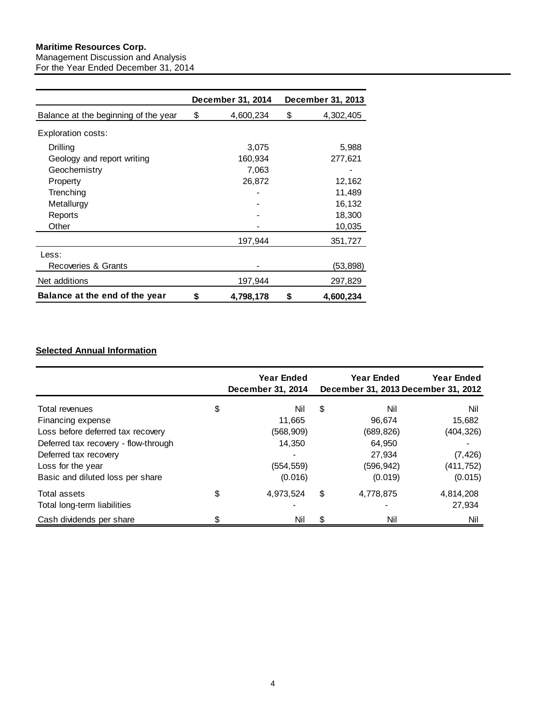## **Maritime Resources Corp.**

Management Discussion and Analysis For the Year Ended December 31, 2014

|                                      | <b>December 31, 2014</b> | December 31, 2013 |
|--------------------------------------|--------------------------|-------------------|
| Balance at the beginning of the year | \$<br>4,600,234          | \$<br>4,302,405   |
| <b>Exploration costs:</b>            |                          |                   |
| Drilling                             | 3,075                    | 5,988             |
| Geology and report writing           | 160,934                  | 277,621           |
| Geochemistry                         | 7,063                    |                   |
| Property                             | 26,872                   | 12,162            |
| Trenching                            |                          | 11,489            |
| Metallurgy                           |                          | 16,132            |
| Reports                              |                          | 18,300            |
| Other                                |                          | 10,035            |
|                                      | 197,944                  | 351,727           |
| Less:                                |                          |                   |
| Recoveries & Grants                  |                          | (53, 898)         |
| Net additions                        | 197,944                  | 297,829           |
| Balance at the end of the year       | \$<br>4,798,178          | \$<br>4,600,234   |

## <span id="page-4-0"></span>**Selected Annual Information**

<span id="page-4-1"></span>

|                                      | Year Ended<br>December 31, 2014 | Year Ended      | Year Ended<br>December 31, 2013 December 31, 2012 |
|--------------------------------------|---------------------------------|-----------------|---------------------------------------------------|
| Total revenues                       | \$<br>Nil                       | \$<br>Nil       | Nil                                               |
| Financing expense                    | 11.665                          | 96.674          | 15,682                                            |
| Loss before deferred tax recovery    | (568, 909)                      | (689, 826)      | (404, 326)                                        |
| Deferred tax recovery - flow-through | 14,350                          | 64,950          |                                                   |
| Deferred tax recovery                |                                 | 27.934          | (7, 426)                                          |
| Loss for the year                    | (554, 559)                      | (596, 942)      | (411, 752)                                        |
| Basic and diluted loss per share     | (0.016)                         | (0.019)         | (0.015)                                           |
| Total assets                         | \$<br>4,973,524                 | \$<br>4,778,875 | 4,814,208                                         |
| Total long-term liabilities          |                                 |                 | 27,934                                            |
| Cash dividends per share             | \$<br>Nil                       | \$<br>Nil       | Nil                                               |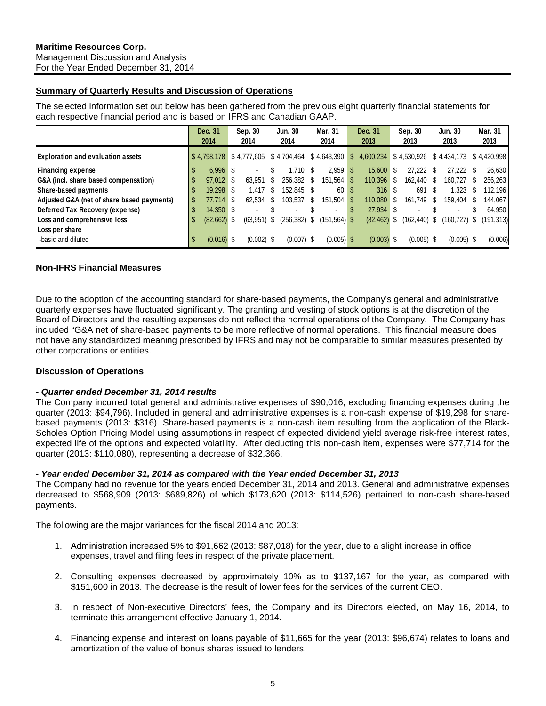## **Summary of Quarterly Results and Discussion of Operations**

The selected information set out below has been gathered from the previous eight quarterly financial statements for each respective financial period and is based on IFRS and Canadian GAAP.

|                                            |     | Dec. 31                |      | Sep. 30        |     | <b>Jun. 30</b>                                       |      | Mar. 31                  | Dec. 31                         | Sep. 30                  |      | <b>Jun. 30</b> |     | Mar. 31     |
|--------------------------------------------|-----|------------------------|------|----------------|-----|------------------------------------------------------|------|--------------------------|---------------------------------|--------------------------|------|----------------|-----|-------------|
|                                            |     | 2014                   |      | 2014           |     | 2014                                                 |      | 2014                     | 2013                            | 2013                     |      | 2013           |     | 2013        |
| <b>Exploration and evaluation assets</b>   |     | \$4,798,178            |      |                |     | $\frac{1}{2}$ \$4,777,605 \$4,704,464 \$4,643,390 \$ |      |                          | $4,600,234$ \$4,530,926         |                          |      | \$4,434,173    |     | \$4,420,998 |
| <b>Financing expense</b>                   | -56 | $6,996$   \$           |      |                | S   | $1.710$ \$                                           |      |                          | $15.600$ $\mid$ \$              | 27,222                   | S    | 27.222         | \$. | 26,630      |
| G&A (incl. share based compensation)       |     | 97,012                 | - \$ | 63.951         | \$. | 256.382 \$                                           |      |                          | $110,396$ $\frac{1}{5}$         | 162.440                  | - \$ | 160.727        | S   | 256.263     |
| Share-based payments                       |     | $19,298$   \$          |      | 1.417          | -S  | 152,845 \$                                           |      | 60   \$                  | $316$ $\overline{\phantom{1}5}$ | 691                      | - \$ | 1,323          | S   | 112,196     |
| Adjusted G&A (net of share based payments) |     | $77,714$ $\frac{1}{5}$ |      | 62,534         | \$  | 103,537                                              | - \$ | $151,504$   \$           |                                 | 161,749                  | -S   | 159,404        | S   | 144,067     |
| Deferred Tax Recovery (expense)            |     | $14,350$ $\mid$ \$     |      |                |     |                                                      |      | $\overline{\phantom{0}}$ |                                 | $\overline{\phantom{0}}$ |      | $\blacksquare$ | S   | 64,950      |
| Loss and comprehensive loss                |     | $(82,662)$ \$          |      | $(63, 951)$ \$ |     | $(256, 382)$ \$                                      |      | $(151, 564)$ \$          | $(82, 462)$ \$                  | $(162, 440)$ \$          |      | (160, 727)     | S   | (191, 313)  |
| Loss per share                             |     |                        |      |                |     |                                                      |      |                          |                                 |                          |      |                |     |             |
| -basic and diluted                         | S.  | $(0.016)$ \$           |      | $(0.002)$ \$   |     | $(0.007)$ \$                                         |      | $(0.005)$ \$             | $(0.003)$ \$                    | $(0.005)$ \$             |      | $(0.005)$ \$   |     | (0.006)     |

## **Non-IFRS Financial Measures**

Due to the adoption of the accounting standard for share-based payments, the Company's general and administrative quarterly expenses have fluctuated significantly. The granting and vesting of stock options is at the discretion of the Board of Directors and the resulting expenses do not reflect the normal operations of the Company. The Company has included "G&A net of share-based payments to be more reflective of normal operations. This financial measure does not have any standardized meaning prescribed by IFRS and may not be comparable to similar measures presented by other corporations or entities.

## **Discussion of Operations**

#### *- Quarter ended December 31, 2014 results*

The Company incurred total general and administrative expenses of \$90,016, excluding financing expenses during the quarter (2013: \$94,796). Included in general and administrative expenses is a non-cash expense of \$19,298 for sharebased payments (2013: \$316). Share-based payments is a non-cash item resulting from the application of the Black-Scholes Option Pricing Model using assumptions in respect of expected dividend yield average risk-free interest rates, expected life of the options and expected volatility. After deducting this non-cash item, expenses were \$77,714 for the quarter (2013: \$110,080), representing a decrease of \$32,366.

#### *- Year ended December 31, 2014 as compared with the Year ended December 31, 2013*

The Company had no revenue for the years ended December 31, 2014 and 2013. General and administrative expenses decreased to \$568,909 (2013: \$689,826) of which \$173,620 (2013: \$114,526) pertained to non-cash share-based payments.

The following are the major variances for the fiscal 2014 and 2013:

- 1. Administration increased 5% to \$91,662 (2013: \$87,018) for the year, due to a slight increase in office expenses, travel and filing fees in respect of the private placement.
- 2. Consulting expenses decreased by approximately 10% as to \$137,167 for the year, as compared with \$151,600 in 2013. The decrease is the result of lower fees for the services of the current CEO.
- 3. In respect of Non-executive Directors' fees, the Company and its Directors elected, on May 16, 2014, to terminate this arrangement effective January 1, 2014.
- 4. Financing expense and interest on loans payable of \$11,665 for the year (2013: \$96,674) relates to loans and amortization of the value of bonus shares issued to lenders.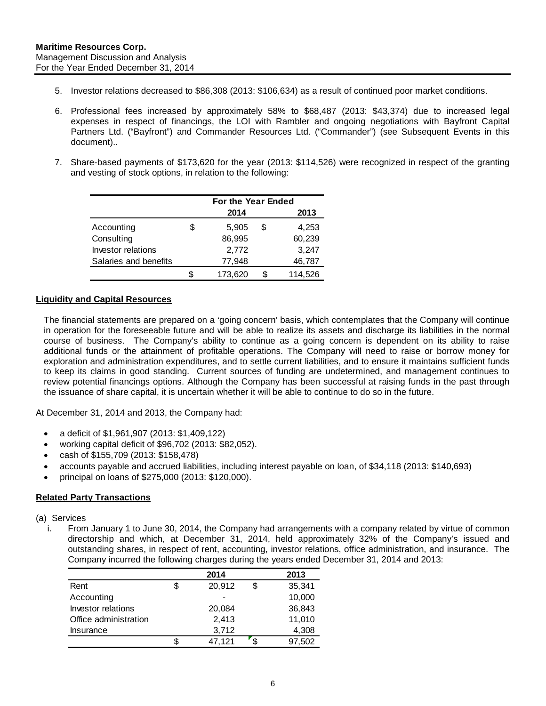- 5. Investor relations decreased to \$86,308 (2013: \$106,634) as a result of continued poor market conditions.
- 6. Professional fees increased by approximately 58% to \$68,487 (2013: \$43,374) due to increased legal expenses in respect of financings, the LOI with Rambler and ongoing negotiations with Bayfront Capital Partners Ltd. ("Bayfront") and Commander Resources Ltd. ("Commander") (see Subsequent Events in this document)..
- 7. Share-based payments of \$173,620 for the year (2013: \$114,526) were recognized in respect of the granting and vesting of stock options, in relation to the following:

|                       | For the Year Ended |   |         |
|-----------------------|--------------------|---|---------|
|                       | 2014               |   | 2013    |
| Accounting            | \$<br>5,905        | S | 4,253   |
| Consulting            | 86,995             |   | 60,239  |
| Investor relations    | 2,772              |   | 3,247   |
| Salaries and benefits | 77,948             |   | 46,787  |
|                       | \$<br>173,620      |   | 114,526 |

#### <span id="page-6-0"></span>**Liquidity and Capital Resources**

The financial statements are prepared on a 'going concern' basis, which contemplates that the Company will continue in operation for the foreseeable future and will be able to realize its assets and discharge its liabilities in the normal course of business. The Company's ability to continue as a going concern is dependent on its ability to raise additional funds or the attainment of profitable operations. The Company will need to raise or borrow money for exploration and administration expenditures, and to settle current liabilities, and to ensure it maintains sufficient funds to keep its claims in good standing. Current sources of funding are undetermined, and management continues to review potential financings options. Although the Company has been successful at raising funds in the past through the issuance of share capital, it is uncertain whether it will be able to continue to do so in the future.

At December 31, 2014 and 2013, the Company had:

- a deficit of \$1,961,907 (2013: \$1,409,122)
- working capital deficit of \$96,702 (2013: \$82,052).
- cash of \$155,709 (2013: \$158,478)
- accounts payable and accrued liabilities, including interest payable on loan, of \$34,118 (2013: \$140,693)
- principal on loans of \$275,000 (2013: \$120,000).

## <span id="page-6-1"></span>**Related Party Transactions**

(a) Services

i. From January 1 to June 30, 2014, the Company had arrangements with a company related by virtue of common directorship and which, at December 31, 2014, held approximately 32% of the Company's issued and outstanding shares, in respect of rent, accounting, investor relations, office administration, and insurance. The Company incurred the following charges during the years ended December 31, 2014 and 2013:

|                       | 2014         |   | 2013   |
|-----------------------|--------------|---|--------|
| Rent                  | \$<br>20,912 | S | 35,341 |
| Accounting            |              |   | 10,000 |
| Investor relations    | 20,084       |   | 36,843 |
| Office administration | 2,413        |   | 11,010 |
| Insurance             | 3,712        |   | 4,308  |
|                       | \$<br>47,121 |   | 97,502 |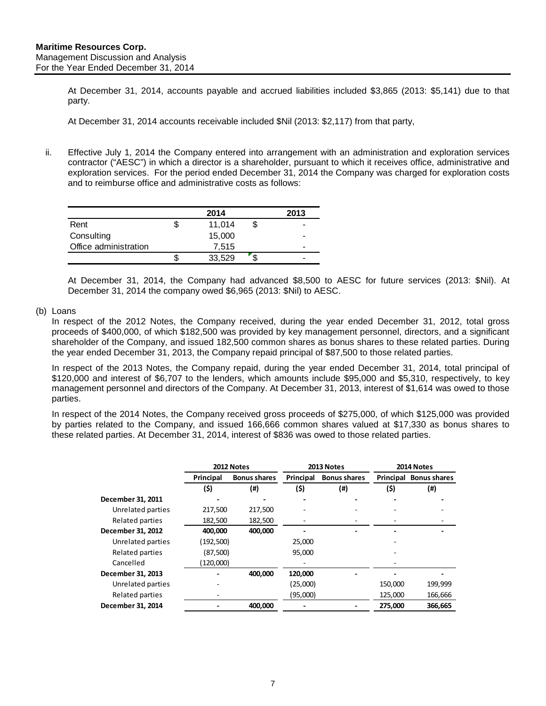At December 31, 2014, accounts payable and accrued liabilities included \$3,865 (2013: \$5,141) due to that party.

At December 31, 2014 accounts receivable included \$Nil (2013: \$2,117) from that party,

ii. Effective July 1, 2014 the Company entered into arrangement with an administration and exploration services contractor ("AESC") in which a director is a shareholder, pursuant to which it receives office, administrative and exploration services. For the period ended December 31, 2014 the Company was charged for exploration costs and to reimburse office and administrative costs as follows:

|                       | 2014   | 2013 |
|-----------------------|--------|------|
| Rent                  | 11,014 | -    |
| Consulting            | 15,000 |      |
| Office administration | 7.515  | -    |
|                       | 33,529 |      |

At December 31, 2014, the Company had advanced \$8,500 to AESC for future services (2013: \$Nil). At December 31, 2014 the company owed \$6,965 (2013: \$Nil) to AESC.

### (b) Loans

In respect of the 2012 Notes, the Company received, during the year ended December 31, 2012, total gross proceeds of \$400,000, of which \$182,500 was provided by key management personnel, directors, and a significant shareholder of the Company, and issued 182,500 common shares as bonus shares to these related parties. During the year ended December 31, 2013, the Company repaid principal of \$87,500 to those related parties.

In respect of the 2013 Notes, the Company repaid, during the year ended December 31, 2014, total principal of \$120,000 and interest of \$6,707 to the lenders, which amounts include \$95,000 and \$5,310, respectively, to key management personnel and directors of the Company. At December 31, 2013, interest of \$1,614 was owed to those parties.

In respect of the 2014 Notes, the Company received gross proceeds of \$275,000, of which \$125,000 was provided by parties related to the Company, and issued 166,666 common shares valued at \$17,330 as bonus shares to these related parties. At December 31, 2014, interest of \$836 was owed to those related parties.

|                   |           | 2012 Notes          | 2013 Notes |                     |         | 2014 Notes             |
|-------------------|-----------|---------------------|------------|---------------------|---------|------------------------|
|                   | Principal | <b>Bonus shares</b> | Principal  | <b>Bonus shares</b> |         | Principal Bonus shares |
|                   | (\$)      | (#)                 | (\$)       | $($ #)              | (\$)    | $($ #)                 |
| December 31, 2011 |           |                     |            |                     |         |                        |
| Unrelated parties | 217,500   | 217,500             |            |                     |         |                        |
| Related parties   | 182,500   | 182,500             |            |                     |         |                        |
| December 31, 2012 | 400,000   | 400.000             |            |                     |         |                        |
| Unrelated parties | (192,500) |                     | 25,000     |                     |         |                        |
| Related parties   | (87,500)  |                     | 95,000     |                     |         |                        |
| Cancelled         | (120,000) |                     |            |                     |         |                        |
| December 31, 2013 |           | 400,000             | 120,000    |                     |         |                        |
| Unrelated parties |           |                     | (25,000)   |                     | 150,000 | 199,999                |
| Related parties   |           |                     | (95,000)   |                     | 125,000 | 166,666                |
| December 31, 2014 |           | 400,000             |            |                     | 275,000 | 366,665                |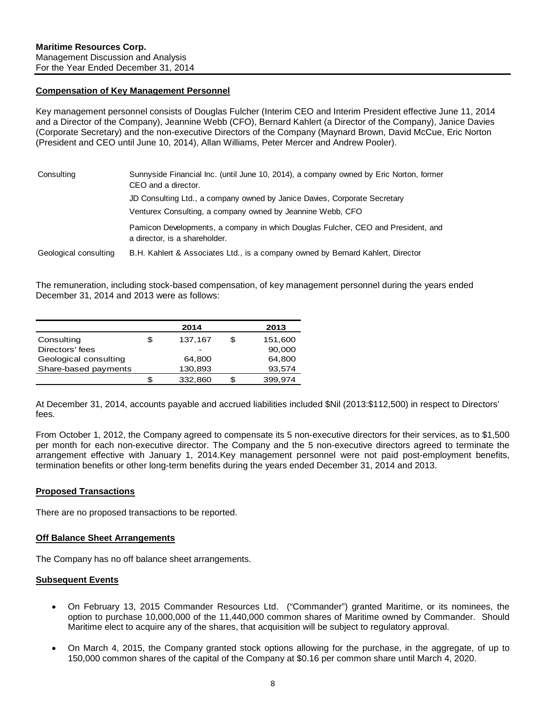#### **Compensation of Key Management Personnel**

Key management personnel consists of Douglas Fulcher (Interim CEO and Interim President effective June 11, 2014 and a Director of the Company), Jeannine Webb (CFO), Bernard Kahlert (a Director of the Company), Janice Davies (Corporate Secretary) and the non-executive Directors of the Company (Maynard Brown, David McCue, Eric Norton (President and CEO until June 10, 2014), Allan Williams, Peter Mercer and Andrew Pooler).

| Consulting            | Sunnyside Financial Inc. (until June 10, 2014), a company owned by Eric Norton, former<br>CEO and a director.<br>JD Consulting Ltd., a company owned by Janice Davies, Corporate Secretary<br>Venturex Consulting, a company owned by Jeannine Webb, CFO |
|-----------------------|----------------------------------------------------------------------------------------------------------------------------------------------------------------------------------------------------------------------------------------------------------|
| Geological consulting | Pamicon Developments, a company in which Douglas Fulcher, CEO and President, and<br>a director, is a shareholder.<br>B.H. Kahlert & Associates Ltd., is a company owned by Bernard Kahlert, Director                                                     |

The remuneration, including stock-based compensation, of key management personnel during the years ended December 31, 2014 and 2013 were as follows:

|                       |    | 2014    |    | 2013    |
|-----------------------|----|---------|----|---------|
| Consulting            | S  | 137,167 | £. | 151,600 |
| Directors' fees       |    |         |    | 90,000  |
| Geological consulting |    | 64.800  |    | 64,800  |
| Share-based payments  |    | 130,893 |    | 93,574  |
|                       | \$ | 332.860 |    | 399.974 |

At December 31, 2014, accounts payable and accrued liabilities included \$Nil (2013:\$112,500) in respect to Directors' fees.

From October 1, 2012, the Company agreed to compensate its 5 non-executive directors for their services, as to \$1,500 per month for each non-executive director. The Company and the 5 non-executive directors agreed to terminate the arrangement effective with January 1, 2014.Key management personnel were not paid post-employment benefits, termination benefits or other long-term benefits during the years ended December 31, 2014 and 2013.

#### <span id="page-8-0"></span>**Proposed Transactions**

There are no proposed transactions to be reported.

#### <span id="page-8-1"></span>**Off Balance Sheet Arrangements**

The Company has no off balance sheet arrangements.

#### <span id="page-8-2"></span>**Subsequent Events**

- On February 13, 2015 Commander Resources Ltd. ("Commander") granted Maritime, or its nominees, the option to purchase 10,000,000 of the 11,440,000 common shares of Maritime owned by Commander. Should Maritime elect to acquire any of the shares, that acquisition will be subject to regulatory approval.
- On March 4, 2015, the Company granted stock options allowing for the purchase, in the aggregate, of up to 150,000 common shares of the capital of the Company at \$0.16 per common share until March 4, 2020.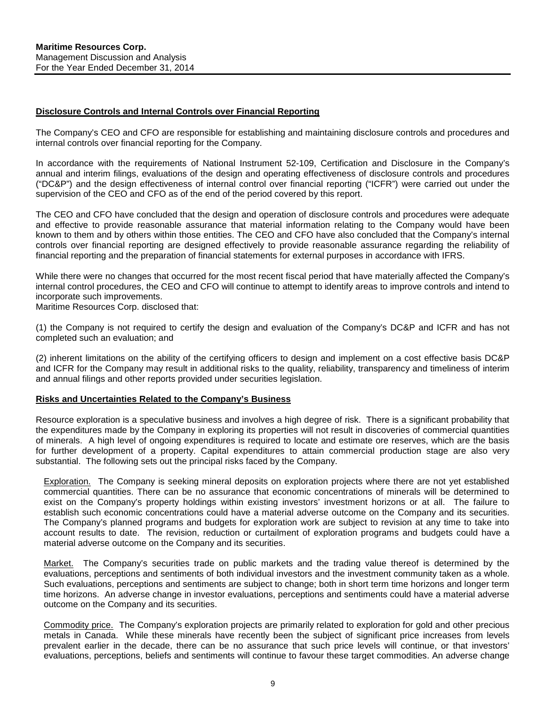#### <span id="page-9-0"></span>**Disclosure Controls and Internal Controls over Financial Reporting**

The Company's CEO and CFO are responsible for establishing and maintaining disclosure controls and procedures and internal controls over financial reporting for the Company.

In accordance with the requirements of National Instrument 52-109, Certification and Disclosure in the Company's annual and interim filings, evaluations of the design and operating effectiveness of disclosure controls and procedures ("DC&P") and the design effectiveness of internal control over financial reporting ("ICFR") were carried out under the supervision of the CEO and CFO as of the end of the period covered by this report.

The CEO and CFO have concluded that the design and operation of disclosure controls and procedures were adequate and effective to provide reasonable assurance that material information relating to the Company would have been known to them and by others within those entities. The CEO and CFO have also concluded that the Company's internal controls over financial reporting are designed effectively to provide reasonable assurance regarding the reliability of financial reporting and the preparation of financial statements for external purposes in accordance with IFRS.

While there were no changes that occurred for the most recent fiscal period that have materially affected the Company's internal control procedures, the CEO and CFO will continue to attempt to identify areas to improve controls and intend to incorporate such improvements.

Maritime Resources Corp. disclosed that:

(1) the Company is not required to certify the design and evaluation of the Company's DC&P and ICFR and has not completed such an evaluation; and

(2) inherent limitations on the ability of the certifying officers to design and implement on a cost effective basis DC&P and ICFR for the Company may result in additional risks to the quality, reliability, transparency and timeliness of interim and annual filings and other reports provided under securities legislation.

#### <span id="page-9-1"></span>**Risks and Uncertainties Related to the Company's Business**

Resource exploration is a speculative business and involves a high degree of risk. There is a significant probability that the expenditures made by the Company in exploring its properties will not result in discoveries of commercial quantities of minerals. A high level of ongoing expenditures is required to locate and estimate ore reserves, which are the basis for further development of a property. Capital expenditures to attain commercial production stage are also very substantial. The following sets out the principal risks faced by the Company.

Exploration.The Company is seeking mineral deposits on exploration projects where there are not yet established commercial quantities. There can be no assurance that economic concentrations of minerals will be determined to exist on the Company's property holdings within existing investors' investment horizons or at all. The failure to establish such economic concentrations could have a material adverse outcome on the Company and its securities. The Company's planned programs and budgets for exploration work are subject to revision at any time to take into account results to date. The revision, reduction or curtailment of exploration programs and budgets could have a material adverse outcome on the Company and its securities.

Market.The Company's securities trade on public markets and the trading value thereof is determined by the evaluations, perceptions and sentiments of both individual investors and the investment community taken as a whole. Such evaluations, perceptions and sentiments are subject to change; both in short term time horizons and longer term time horizons. An adverse change in investor evaluations, perceptions and sentiments could have a material adverse outcome on the Company and its securities.

Commodity price.The Company's exploration projects are primarily related to exploration for gold and other precious metals in Canada. While these minerals have recently been the subject of significant price increases from levels prevalent earlier in the decade, there can be no assurance that such price levels will continue, or that investors' evaluations, perceptions, beliefs and sentiments will continue to favour these target commodities. An adverse change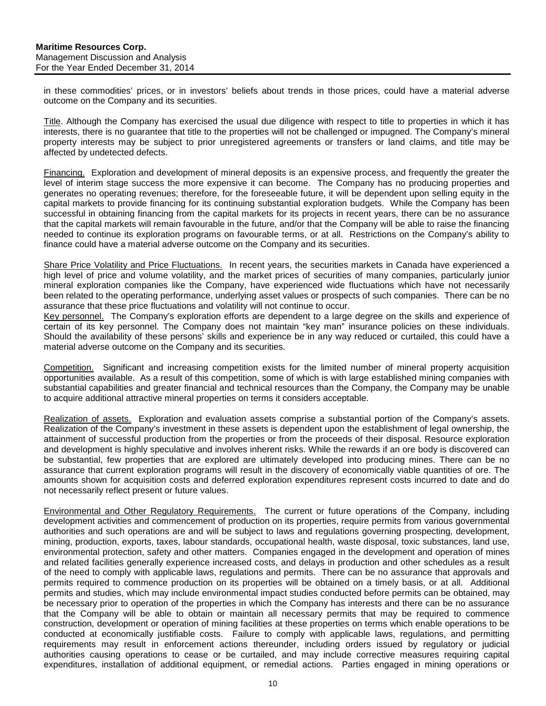in these commodities' prices, or in investors' beliefs about trends in those prices, could have a material adverse outcome on the Company and its securities.

Title. Although the Company has exercised the usual due diligence with respect to title to properties in which it has interests, there is no guarantee that title to the properties will not be challenged or impugned. The Company's mineral property interests may be subject to prior unregistered agreements or transfers or land claims, and title may be affected by undetected defects.

Financing.Exploration and development of mineral deposits is an expensive process, and frequently the greater the level of interim stage success the more expensive it can become. The Company has no producing properties and generates no operating revenues; therefore, for the foreseeable future, it will be dependent upon selling equity in the capital markets to provide financing for its continuing substantial exploration budgets. While the Company has been successful in obtaining financing from the capital markets for its projects in recent years, there can be no assurance that the capital markets will remain favourable in the future, and/or that the Company will be able to raise the financing needed to continue its exploration programs on favourable terms, or at all. Restrictions on the Company's ability to finance could have a material adverse outcome on the Company and its securities.

Share Price Volatility and Price Fluctuations.In recent years, the securities markets in Canada have experienced a high level of price and volume volatility, and the market prices of securities of many companies, particularly junior mineral exploration companies like the Company, have experienced wide fluctuations which have not necessarily been related to the operating performance, underlying asset values or prospects of such companies. There can be no assurance that these price fluctuations and volatility will not continue to occur.

Key personnel.The Company's exploration efforts are dependent to a large degree on the skills and experience of certain of its key personnel. The Company does not maintain "key man" insurance policies on these individuals. Should the availability of these persons' skills and experience be in any way reduced or curtailed, this could have a material adverse outcome on the Company and its securities.

Competition.Significant and increasing competition exists for the limited number of mineral property acquisition opportunities available. As a result of this competition, some of which is with large established mining companies with substantial capabilities and greater financial and technical resources than the Company, the Company may be unable to acquire additional attractive mineral properties on terms it considers acceptable.

Realization of assets. Exploration and evaluation assets comprise a substantial portion of the Company's assets. Realization of the Company's investment in these assets is dependent upon the establishment of legal ownership, the attainment of successful production from the properties or from the proceeds of their disposal. Resource exploration and development is highly speculative and involves inherent risks. While the rewards if an ore body is discovered can be substantial, few properties that are explored are ultimately developed into producing mines. There can be no assurance that current exploration programs will result in the discovery of economically viable quantities of ore. The amounts shown for acquisition costs and deferred exploration expenditures represent costs incurred to date and do not necessarily reflect present or future values.

Environmental and Other Regulatory Requirements.The current or future operations of the Company, including development activities and commencement of production on its properties, require permits from various governmental authorities and such operations are and will be subject to laws and regulations governing prospecting, development, mining, production, exports, taxes, labour standards, occupational health, waste disposal, toxic substances, land use, environmental protection, safety and other matters. Companies engaged in the development and operation of mines and related facilities generally experience increased costs, and delays in production and other schedules as a result of the need to comply with applicable laws, regulations and permits. There can be no assurance that approvals and permits required to commence production on its properties will be obtained on a timely basis, or at all. Additional permits and studies, which may include environmental impact studies conducted before permits can be obtained, may be necessary prior to operation of the properties in which the Company has interests and there can be no assurance that the Company will be able to obtain or maintain all necessary permits that may be required to commence construction, development or operation of mining facilities at these properties on terms which enable operations to be conducted at economically justifiable costs. Failure to comply with applicable laws, regulations, and permitting requirements may result in enforcement actions thereunder, including orders issued by regulatory or judicial authorities causing operations to cease or be curtailed, and may include corrective measures requiring capital expenditures, installation of additional equipment, or remedial actions. Parties engaged in mining operations or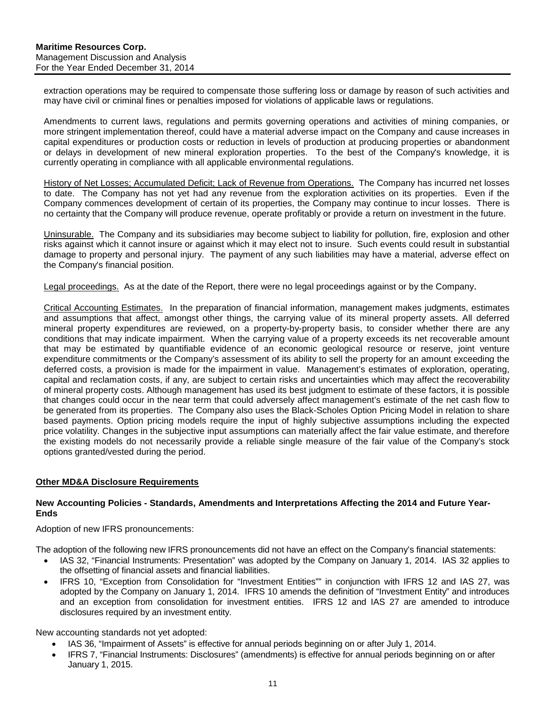extraction operations may be required to compensate those suffering loss or damage by reason of such activities and may have civil or criminal fines or penalties imposed for violations of applicable laws or regulations.

Amendments to current laws, regulations and permits governing operations and activities of mining companies, or more stringent implementation thereof, could have a material adverse impact on the Company and cause increases in capital expenditures or production costs or reduction in levels of production at producing properties or abandonment or delays in development of new mineral exploration properties. To the best of the Company's knowledge, it is currently operating in compliance with all applicable environmental regulations.

History of Net Losses; Accumulated Deficit; Lack of Revenue from Operations. The Company has incurred net losses to date. The Company has not yet had any revenue from the exploration activities on its properties. Even if the Company commences development of certain of its properties, the Company may continue to incur losses. There is no certainty that the Company will produce revenue, operate profitably or provide a return on investment in the future.

Uninsurable. The Company and its subsidiaries may become subject to liability for pollution, fire, explosion and other risks against which it cannot insure or against which it may elect not to insure. Such events could result in substantial damage to property and personal injury. The payment of any such liabilities may have a material, adverse effect on the Company's financial position.

Legal proceedings. As at the date of the Report, there were no legal proceedings against or by the Company.

Critical Accounting Estimates.In the preparation of financial information, management makes judgments, estimates and assumptions that affect, amongst other things, the carrying value of its mineral property assets. All deferred mineral property expenditures are reviewed, on a property-by-property basis, to consider whether there are any conditions that may indicate impairment. When the carrying value of a property exceeds its net recoverable amount that may be estimated by quantifiable evidence of an economic geological resource or reserve, joint venture expenditure commitments or the Company's assessment of its ability to sell the property for an amount exceeding the deferred costs, a provision is made for the impairment in value. Management's estimates of exploration, operating, capital and reclamation costs, if any, are subject to certain risks and uncertainties which may affect the recoverability of mineral property costs. Although management has used its best judgment to estimate of these factors, it is possible that changes could occur in the near term that could adversely affect management's estimate of the net cash flow to be generated from its properties. The Company also uses the Black-Scholes Option Pricing Model in relation to share based payments. Option pricing models require the input of highly subjective assumptions including the expected price volatility. Changes in the subjective input assumptions can materially affect the fair value estimate, and therefore the existing models do not necessarily provide a reliable single measure of the fair value of the Company's stock options granted/vested during the period.

## <span id="page-11-0"></span>**Other MD&A Disclosure Requirements**

#### **New Accounting Policies - Standards, Amendments and Interpretations Affecting the 2014 and Future Year-Ends**

Adoption of new IFRS pronouncements:

The adoption of the following new IFRS pronouncements did not have an effect on the Company's financial statements:

- IAS 32, "Financial Instruments: Presentation" was adopted by the Company on January 1, 2014. IAS 32 applies to the offsetting of financial assets and financial liabilities.
- IFRS 10, "Exception from Consolidation for "Investment Entities"" in conjunction with IFRS 12 and IAS 27, was adopted by the Company on January 1, 2014. IFRS 10 amends the definition of "Investment Entity" and introduces and an exception from consolidation for investment entities. IFRS 12 and IAS 27 are amended to introduce disclosures required by an investment entity.

New accounting standards not yet adopted:

- IAS 36, "Impairment of Assets" is effective for annual periods beginning on or after July 1, 2014.
- IFRS 7, "Financial Instruments: Disclosures" (amendments) is effective for annual periods beginning on or after January 1, 2015.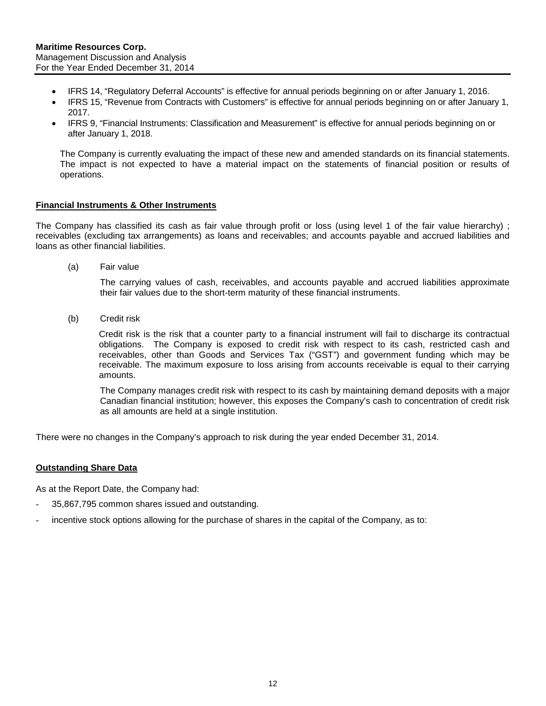- IFRS 14, "Regulatory Deferral Accounts" is effective for annual periods beginning on or after January 1, 2016.
- IFRS 15, "Revenue from Contracts with Customers" is effective for annual periods beginning on or after January 1, 2017.
- IFRS 9, "Financial Instruments: Classification and Measurement" is effective for annual periods beginning on or after January 1, 2018.

The Company is currently evaluating the impact of these new and amended standards on its financial statements. The impact is not expected to have a material impact on the statements of financial position or results of operations.

#### **Financial Instruments & Other Instruments**

The Company has classified its cash as fair value through profit or loss (using level 1 of the fair value hierarchy) ; receivables (excluding tax arrangements) as loans and receivables; and accounts payable and accrued liabilities and loans as other financial liabilities.

(a) Fair value

The carrying values of cash, receivables, and accounts payable and accrued liabilities approximate their fair values due to the short-term maturity of these financial instruments.

(b) Credit risk

Credit risk is the risk that a counter party to a financial instrument will fail to discharge its contractual obligations. The Company is exposed to credit risk with respect to its cash, restricted cash and receivables, other than Goods and Services Tax ("GST") and government funding which may be receivable. The maximum exposure to loss arising from accounts receivable is equal to their carrying amounts.

The Company manages credit risk with respect to its cash by maintaining demand deposits with a major Canadian financial institution; however, this exposes the Company's cash to concentration of credit risk as all amounts are held at a single institution.

There were no changes in the Company's approach to risk during the year ended December 31, 2014.

## **Outstanding Share Data**

As at the Report Date, the Company had:

- 35,867,795 common shares issued and outstanding.
- incentive stock options allowing for the purchase of shares in the capital of the Company, as to: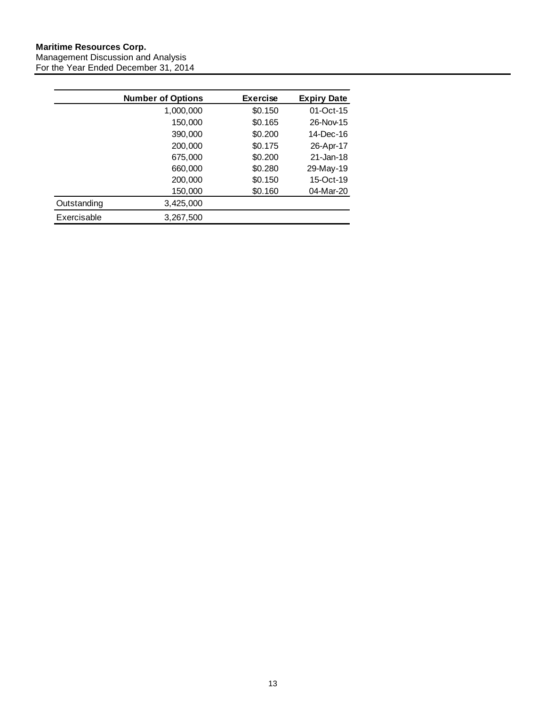#### **Maritime Resources Corp.** Management Discussion and Analysis For the Year Ended December 31, 2014

|             | <b>Number of Options</b> | <b>Exercise</b> | <b>Expiry Date</b> |
|-------------|--------------------------|-----------------|--------------------|
|             | 1,000,000                | \$0.150         | $01$ -Oct-15       |
|             | 150,000                  | \$0.165         | 26-Nov-15          |
|             | 390,000                  | \$0.200         | 14-Dec-16          |
|             | 200,000                  | \$0.175         | 26-Apr-17          |
|             | 675,000                  | \$0.200         | 21-Jan-18          |
|             | 660,000                  | \$0.280         | 29-May-19          |
|             | 200,000                  | \$0.150         | 15-Oct-19          |
|             | 150,000                  | \$0.160         | 04-Mar-20          |
| Outstanding | 3,425,000                |                 |                    |
| Exercisable | 3,267,500                |                 |                    |